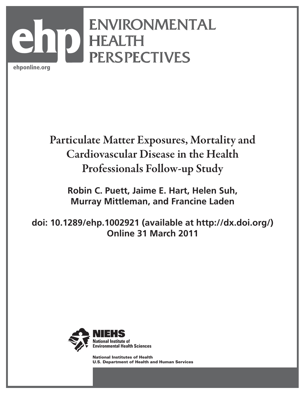# ENVIRONMENTAL ENVIRONMENTAL HEALTH HEALTH PERSPECTIVES PERSPECTIVES ehponline.org **ehp**

# Particulate Matter Exposures, Mortality and Cardiovascular Disease in the Health Professionals Follow-up Study

**Robin C. Puett, Jaime E. Hart, Helen Suh, Murray Mittleman, and Francine Laden**

**doi: 10.1289/ehp.1002921 (available at http://dx.doi.org/) Online 31 March 2011**



National Institutes of Health U.S. Department of Health and Human Services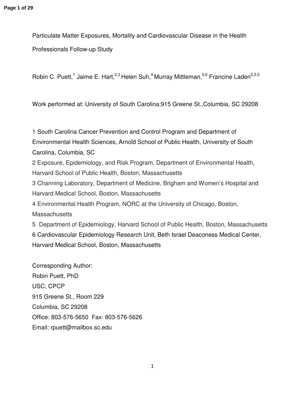Particulate Matter Exposures, Mortality and Cardiovascular Disease in the Health Professionals Follow-up Study

Robin C. Puett,<sup>1</sup> Jaime E. Hart,<sup>2,3</sup> Helen Suh,<sup>4</sup> Murray Mittleman,<sup>5,6</sup> Francine Laden<sup>2,3,5</sup>

Work performed at: University of South Carolina;915 Greene St.,Columbia, SC 29208

1 South Carolina Cancer Prevention and Control Program and Department of Environmental Health Sciences, Arnold School of Public Health, University of South Carolina, Columbia, SC 2 Exposure, Epidemiology, and Risk Program, Department of Environmental Health, Harvard School of Public Health, Boston, Massachusetts 3 Channing Laboratory, Department of Medicine, Brigham and Women's Hospital and Harvard Medical School, Boston, Massachusetts 4 Environmental Health Program, NORC at the University of Chicago, Boston, **Massachusetts** 5 Department of Epidemiology, Harvard School of Public Health, Boston, Massachusetts 6 Cardiovascular Epidemiology Research Unit, Beth Israel Deaconess Medical Center, Harvard Medical School, Boston, Massachusetts

Corresponding Author: Robin Puett, PhD USC; CPCP 915 Greene St., Room 229 Columbia, SC 29208 Office: 803-576-5650 Fax: 803-576-5626 Email: rpuett@mailbox.sc.edu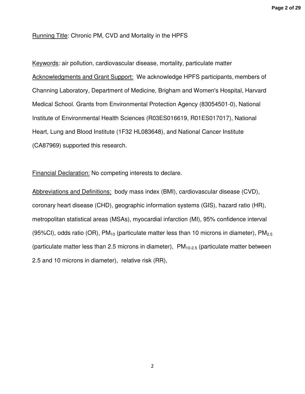# Running Title: Chronic PM, CVD and Mortality in the HPFS

Keywords: air pollution, cardiovascular disease, mortality, particulate matter Acknowledgments and Grant Support: We acknowledge HPFS participants, members of Channing Laboratory, Department of Medicine, Brigham and Women's Hospital, Harvard Medical School. Grants from Environmental Protection Agency (83054501-0), National Institute of Environmental Health Sciences (R03ES016619, R01ES017017), National Heart, Lung and Blood Institute (1F32 HL083648), and National Cancer Institute (CA87969) supported this research.

Financial Declaration: No competing interests to declare.

Abbreviations and Definitions: body mass index (BMI), cardiovascular disease (CVD), coronary heart disease (CHD), geographic information systems (GIS), hazard ratio (HR), metropolitan statistical areas (MSAs), myocardial infarction (MI), 95% confidence interval (95%CI), odds ratio (OR),  $PM_{10}$  (particulate matter less than 10 microns in diameter),  $PM_{2.5}$ (particulate matter less than 2.5 microns in diameter),  $PM<sub>10-2.5</sub>$  (particulate matter between 2.5 and 10 microns in diameter), relative risk (RR),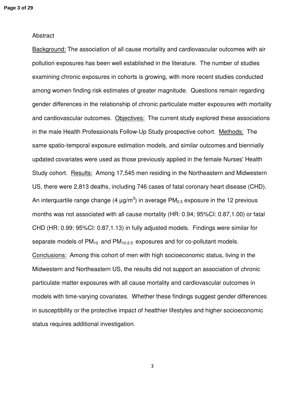# Abstract

Background: The association of all cause mortality and cardiovascular outcomes with air pollution exposures has been well established in the literature. The number of studies examining chronic exposures in cohorts is growing, with more recent studies conducted among women finding risk estimates of greater magnitude. Questions remain regarding gender differences in the relationship of chronic particulate matter exposures with mortality and cardiovascular outcomes. Objectives: The current study explored these associations in the male Health Professionals Follow-Up Study prospective cohort. Methods: The same spatio-temporal exposure estimation models, and similar outcomes and biennially updated covariates were used as those previously applied in the female Nurses' Health Study cohort. Results: Among 17,545 men residing in the Northeastern and Midwestern US, there were 2,813 deaths, including 746 cases of fatal coronary heart disease (CHD). An interquartile range change (4  $\mu$ g/m<sup>3</sup>) in average PM<sub>2.5</sub> exposure in the 12 previous months was not associated with all cause mortality (HR: 0.94; 95%CI: 0.87,1.00) or fatal CHD (HR: 0.99; 95%CI: 0.87,1.13) in fully adjusted models. Findings were similar for separate models of  $PM_{10}$  and  $PM_{10-2.5}$  exposures and for co-pollutant models. Conclusions: Among this cohort of men with high socioeconomic status, living in the Midwestern and Northeastern US, the results did not support an association of chronic particulate matter exposures with all cause mortality and cardiovascular outcomes in models with time-varying covariates. Whether these findings suggest gender differences in susceptibility or the protective impact of healthier lifestyles and higher socioeconomic status requires additional investigation.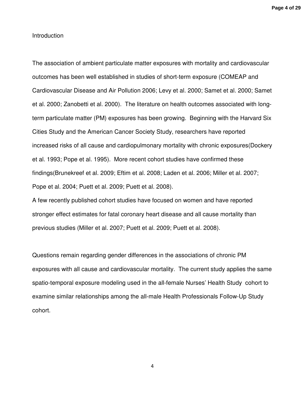# Introduction

The association of ambient particulate matter exposures with mortality and cardiovascular outcomes has been well established in studies of short-term exposure (COMEAP and Cardiovascular Disease and Air Pollution 2006; Levy et al. 2000; Samet et al. 2000; Samet et al. 2000; Zanobetti et al. 2000). The literature on health outcomes associated with longterm particulate matter (PM) exposures has been growing. Beginning with the Harvard Six Cities Study and the American Cancer Society Study, researchers have reported increased risks of all cause and cardiopulmonary mortality with chronic exposures(Dockery et al. 1993; Pope et al. 1995). More recent cohort studies have confirmed these findings(Brunekreef et al. 2009; Eftim et al. 2008; Laden et al. 2006; Miller et al. 2007; Pope et al. 2004; Puett et al. 2009; Puett et al. 2008).

A few recently published cohort studies have focused on women and have reported stronger effect estimates for fatal coronary heart disease and all cause mortality than previous studies (Miller et al. 2007; Puett et al. 2009; Puett et al. 2008).

Questions remain regarding gender differences in the associations of chronic PM exposures with all cause and cardiovascular mortality. The current study applies the same spatio-temporal exposure modeling used in the all-female Nurses' Health Study cohort to examine similar relationships among the all-male Health Professionals Follow-Up Study cohort.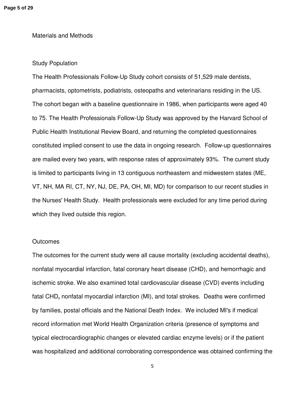# Materials and Methods

# Study Population

The Health Professionals Follow-Up Study cohort consists of 51,529 male dentists, pharmacists, optometrists, podiatrists, osteopaths and veterinarians residing in the US. The cohort began with a baseline questionnaire in 1986, when participants were aged 40 to 75. The Health Professionals Follow-Up Study was approved by the Harvard School of Public Health Institutional Review Board, and returning the completed questionnaires constituted implied consent to use the data in ongoing research. Follow-up questionnaires are mailed every two years, with response rates of approximately 93%. The current study is limited to participants living in 13 contiguous northeastern and midwestern states (ME, VT, NH, MA RI, CT, NY, NJ, DE, PA, OH, MI, MD) for comparison to our recent studies in the Nurses' Health Study. Health professionals were excluded for any time period during which they lived outside this region.

#### **Outcomes**

The outcomes for the current study were all cause mortality (excluding accidental deaths), nonfatal myocardial infarction, fatal coronary heart disease (CHD), and hemorrhagic and ischemic stroke. We also examined total cardiovascular disease (CVD) events including fatal CHD**,** nonfatal myocardial infarction (MI), and total strokes. Deaths were confirmed by families, postal officials and the National Death Index. We included MI's if medical record information met World Health Organization criteria (presence of symptoms and typical electrocardiographic changes or elevated cardiac enzyme levels) or if the patient was hospitalized and additional corroborating correspondence was obtained confirming the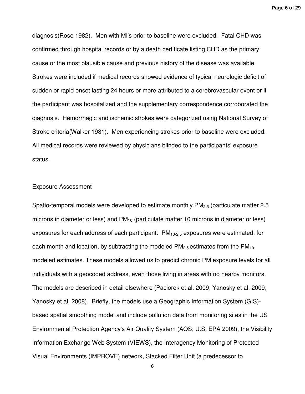**Page 6 of 29**

diagnosis(Rose 1982). Men with MI's prior to baseline were excluded. Fatal CHD was confirmed through hospital records or by a death certificate listing CHD as the primary cause or the most plausible cause and previous history of the disease was available. Strokes were included if medical records showed evidence of typical neurologic deficit of sudden or rapid onset lasting 24 hours or more attributed to a cerebrovascular event or if the participant was hospitalized and the supplementary correspondence corroborated the diagnosis. Hemorrhagic and ischemic strokes were categorized using National Survey of Stroke criteria(Walker 1981). Men experiencing strokes prior to baseline were excluded. All medical records were reviewed by physicians blinded to the participants' exposure status.

# Exposure Assessment

Spatio-temporal models were developed to estimate monthly  $PM<sub>2.5</sub>$  (particulate matter 2.5 microns in diameter or less) and  $PM_{10}$  (particulate matter 10 microns in diameter or less) exposures for each address of each participant.  $PM_{10-2.5}$  exposures were estimated, for each month and location, by subtracting the modeled  $PM<sub>2.5</sub>$  estimates from the  $PM<sub>10</sub>$ modeled estimates. These models allowed us to predict chronic PM exposure levels for all individuals with a geocoded address, even those living in areas with no nearby monitors. The models are described in detail elsewhere (Paciorek et al. 2009; Yanosky et al. 2009; Yanosky et al. 2008). Briefly, the models use a Geographic Information System (GIS) based spatial smoothing model and include pollution data from monitoring sites in the US Environmental Protection Agency's Air Quality System (AQS; U.S. EPA 2009), the Visibility Information Exchange Web System (VIEWS), the Interagency Monitoring of Protected Visual Environments (IMPROVE) network, Stacked Filter Unit (a predecessor to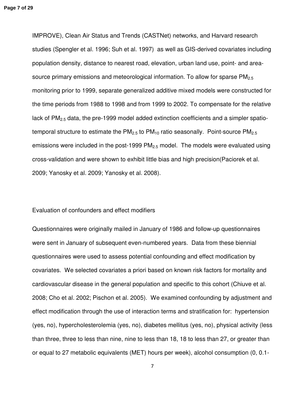IMPROVE), Clean Air Status and Trends (CASTNet) networks, and Harvard research studies (Spengler et al. 1996; Suh et al. 1997) as well as GIS-derived covariates including population density, distance to nearest road, elevation, urban land use, point- and areasource primary emissions and meteorological information. To allow for sparse  $PM<sub>2.5</sub>$ monitoring prior to 1999, separate generalized additive mixed models were constructed for the time periods from 1988 to 1998 and from 1999 to 2002. To compensate for the relative lack of  $PM<sub>2.5</sub>$  data, the pre-1999 model added extinction coefficients and a simpler spatiotemporal structure to estimate the  $PM<sub>2.5</sub>$  to  $PM<sub>10</sub>$  ratio seasonally. Point-source  $PM<sub>2.5</sub>$ emissions were included in the post-1999  $PM<sub>2.5</sub>$  model. The models were evaluated using cross-validation and were shown to exhibit little bias and high precision(Paciorek et al. 2009; Yanosky et al. 2009; Yanosky et al. 2008).

#### Evaluation of confounders and effect modifiers

Questionnaires were originally mailed in January of 1986 and follow-up questionnaires were sent in January of subsequent even-numbered years. Data from these biennial questionnaires were used to assess potential confounding and effect modification by covariates. We selected covariates a priori based on known risk factors for mortality and cardiovascular disease in the general population and specific to this cohort (Chiuve et al. 2008; Cho et al. 2002; Pischon et al. 2005). We examined confounding by adjustment and effect modification through the use of interaction terms and stratification for: hypertension (yes, no), hypercholesterolemia (yes, no), diabetes mellitus (yes, no), physical activity (less than three, three to less than nine, nine to less than 18, 18 to less than 27, or greater than or equal to 27 metabolic equivalents (MET) hours per week), alcohol consumption (0, 0.1-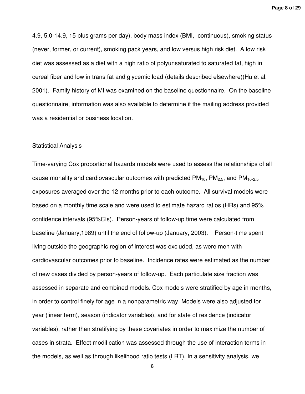4.9, 5.0-14.9, 15 plus grams per day), body mass index (BMI, continuous), smoking status (never, former, or current), smoking pack years, and low versus high risk diet. A low risk diet was assessed as a diet with a high ratio of polyunsaturated to saturated fat, high in cereal fiber and low in trans fat and glycemic load (details described elsewhere)(Hu et al. 2001). Family history of MI was examined on the baseline questionnaire. On the baseline questionnaire, information was also available to determine if the mailing address provided was a residential or business location.

#### Statistical Analysis

Time-varying Cox proportional hazards models were used to assess the relationships of all cause mortality and cardiovascular outcomes with predicted  $PM_{10}$ ,  $PM_{2.5}$ , and  $PM_{10-2.5}$ exposures averaged over the 12 months prior to each outcome. All survival models were based on a monthly time scale and were used to estimate hazard ratios (HRs) and 95% confidence intervals (95%CIs). Person-years of follow-up time were calculated from baseline (January,1989) until the end of follow-up (January, 2003). Person-time spent living outside the geographic region of interest was excluded, as were men with cardiovascular outcomes prior to baseline. Incidence rates were estimated as the number of new cases divided by person-years of follow-up. Each particulate size fraction was assessed in separate and combined models. Cox models were stratified by age in months, in order to control finely for age in a nonparametric way. Models were also adjusted for year (linear term), season (indicator variables), and for state of residence (indicator variables), rather than stratifying by these covariates in order to maximize the number of cases in strata. Effect modification was assessed through the use of interaction terms in the models, as well as through likelihood ratio tests (LRT). In a sensitivity analysis, we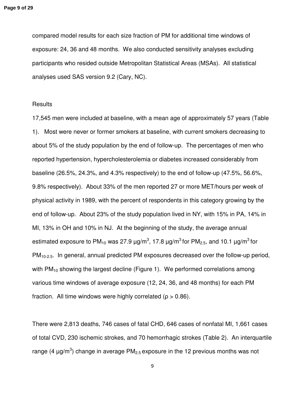compared model results for each size fraction of PM for additional time windows of exposure: 24, 36 and 48 months. We also conducted sensitivity analyses excluding participants who resided outside Metropolitan Statistical Areas (MSAs). All statistical analyses used SAS version 9.2 (Cary, NC).

# **Results**

17,545 men were included at baseline, with a mean age of approximately 57 years (Table 1). Most were never or former smokers at baseline, with current smokers decreasing to about 5% of the study population by the end of follow-up. The percentages of men who reported hypertension, hypercholesterolemia or diabetes increased considerably from baseline (26.5%, 24.3%, and 4.3% respectively) to the end of follow-up (47.5%, 56.6%, 9.8% respectively). About 33% of the men reported 27 or more MET/hours per week of physical activity in 1989, with the percent of respondents in this category growing by the end of follow-up. About 23% of the study population lived in NY, with 15% in PA, 14% in MI, 13% in OH and 10% in NJ. At the beginning of the study, the average annual estimated exposure to PM<sub>10</sub> was 27.9  $\mu$ g/m<sup>3</sup>, 17.8  $\mu$ g/m<sup>3</sup> for PM<sub>2.5</sub>, and 10.1  $\mu$ g/m<sup>3</sup> for  $PM<sub>10-2.5</sub>$ . In general, annual predicted PM exposures decreased over the follow-up period, with  $PM_{10}$  showing the largest decline (Figure 1). We performed correlations among various time windows of average exposure (12, 24, 36, and 48 months) for each PM fraction. All time windows were highly correlated ( $\rho > 0.86$ ).

There were 2,813 deaths, 746 cases of fatal CHD, 646 cases of nonfatal MI, 1,661 cases of total CVD, 230 ischemic strokes, and 70 hemorrhagic strokes (Table 2). An interquartile range (4  $\mu$ g/m<sup>3</sup>) change in average PM<sub>2.5</sub> exposure in the 12 previous months was not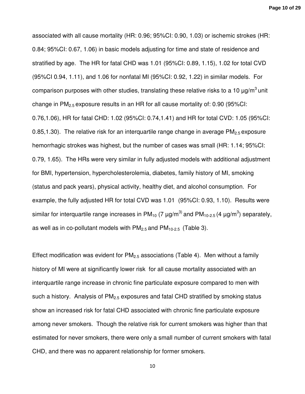**Page 10 of 29**

associated with all cause mortality (HR: 0.96; 95%CI: 0.90, 1.03) or ischemic strokes (HR: 0.84; 95%CI: 0.67, 1.06) in basic models adjusting for time and state of residence and stratified by age. The HR for fatal CHD was 1.01 (95%CI: 0.89, 1.15), 1.02 for total CVD (95%CI 0.94, 1.11), and 1.06 for nonfatal MI (95%CI: 0.92, 1.22) in similar models. For comparison purposes with other studies, translating these relative risks to a 10  $\mu$ q/m<sup>3</sup> unit change in  $PM<sub>2.5</sub>$  exposure results in an HR for all cause mortality of: 0.90 (95%CI: 0.76,1.06), HR for fatal CHD: 1.02 (95%CI: 0.74,1.41) and HR for total CVD: 1.05 (95%CI: 0.85,1.30). The relative risk for an interquartile range change in average  $PM<sub>2.5</sub>$  exposure hemorrhagic strokes was highest, but the number of cases was small (HR: 1.14; 95%CI: 0.79, 1.65). The HRs were very similar in fully adjusted models with additional adjustment for BMI, hypertension, hypercholesterolemia, diabetes, family history of MI, smoking (status and pack years), physical activity, healthy diet, and alcohol consumption. For example, the fully adjusted HR for total CVD was 1.01 (95%CI: 0.93, 1.10). Results were similar for interquartile range increases in PM<sub>10</sub> (7  $\mu$ g/m<sup>3)</sup> and PM<sub>10-2.5</sub> (4  $\mu$ g/m<sup>3</sup>) separately, as well as in co-pollutant models with  $PM_{2.5}$  and  $PM_{10-2.5}$  (Table 3).

Effect modification was evident for  $PM<sub>2.5</sub>$  associations (Table 4). Men without a family history of MI were at significantly lower risk for all cause mortality associated with an interquartile range increase in chronic fine particulate exposure compared to men with such a history. Analysis of  $PM<sub>2.5</sub>$  exposures and fatal CHD stratified by smoking status show an increased risk for fatal CHD associated with chronic fine particulate exposure among never smokers. Though the relative risk for current smokers was higher than that estimated for never smokers, there were only a small number of current smokers with fatal CHD, and there was no apparent relationship for former smokers.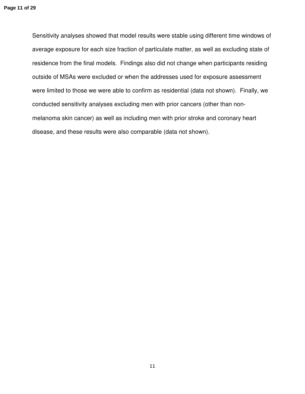Sensitivity analyses showed that model results were stable using different time windows of average exposure for each size fraction of particulate matter, as well as excluding state of residence from the final models. Findings also did not change when participants residing outside of MSAs were excluded or when the addresses used for exposure assessment were limited to those we were able to confirm as residential (data not shown). Finally, we conducted sensitivity analyses excluding men with prior cancers (other than nonmelanoma skin cancer) as well as including men with prior stroke and coronary heart disease, and these results were also comparable (data not shown).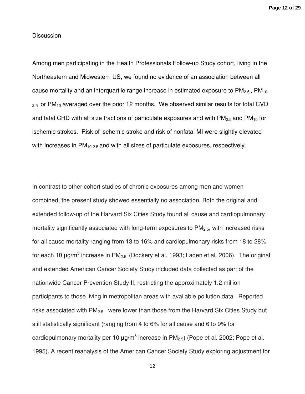# **Discussion**

Among men participating in the Health Professionals Follow-up Study cohort, living in the Northeastern and Midwestern US, we found no evidence of an association between all cause mortality and an interquartile range increase in estimated exposure to  $PM<sub>2.5</sub>$ ,  $PM<sub>10</sub>$ .  $_{2.5}$  or PM<sub>10</sub> averaged over the prior 12 months. We observed similar results for total CVD and fatal CHD with all size fractions of particulate exposures and with  $PM_{2.5}$  and  $PM_{10}$  for ischemic strokes. Risk of ischemic stroke and risk of nonfatal MI were slightly elevated with increases in  $PM_{10-2.5}$  and with all sizes of particulate exposures, respectively.

In contrast to other cohort studies of chronic exposures among men and women combined, the present study showed essentially no association. Both the original and extended follow-up of the Harvard Six Cities Study found all cause and cardiopulmonary mortality significantly associated with long-term exposures to  $PM<sub>2.5</sub>$ , with increased risks for all cause mortality ranging from 13 to 16% and cardiopulmonary risks from 18 to 28% for each 10  $\mu$ g/m<sup>3</sup> increase in PM<sub>2.5</sub> (Dockery et al. 1993; Laden et al. 2006). The original and extended American Cancer Society Study included data collected as part of the nationwide Cancer Prevention Study II, restricting the approximately 1.2 million participants to those living in metropolitan areas with available pollution data. Reported risks associated with  $PM<sub>2.5</sub>$  were lower than those from the Harvard Six Cities Study but still statistically significant (ranging from 4 to 6% for all cause and 6 to 9% for cardiopulmonary mortality per 10  $\mu$ g/m<sup>3</sup> increase in PM<sub>2.5</sub>) (Pope et al. 2002; Pope et al. 1995). A recent reanalysis of the American Cancer Society Study exploring adjustment for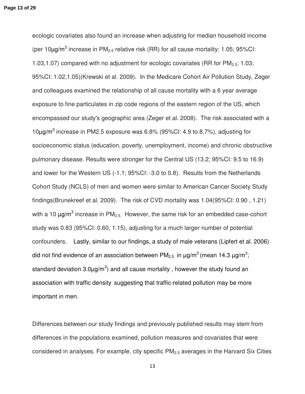ecologic covariates also found an increase when adjusting for median household income (per 10 $\mu$ g/m<sup>3</sup> increase in PM<sub>2.5</sub> relative risk (RR) for all cause mortality: 1.05; 95%CI: 1.03,1.07) compared with no adjustment for ecologic covariates (RR for  $PM_{2.5}$ : 1.03; 95%CI: 1.02,1.05)(Krewski et al. 2009). In the Medicare Cohort Air Pollution Study, Zeger and colleagues examined the relationship of all cause mortality with a 6 year average exposure to fine particulates in zip code regions of the eastern region of the US, which encompassed our study's geographic area (Zeger et al. 2008). The risk associated with a 10µg/m<sup>3</sup> increase in PM2.5 exposure was 6.8% (95%CI: 4.9 to 8,7%), adjusting for socioeconomic status (education, poverty, unemployment, income) and chronic obstructive pulmonary disease. Results were stronger for the Central US (13.2; 95%CI: 9.5 to 16.9) and lower for the Western US (-1.1; 95%CI: -3.0 to 0.8). Results from the Netherlands Cohort Study (NCLS) of men and women were similar to American Cancer Society Study findings(Brunekreef et al. 2009). The risk of CVD mortality was 1.04(95%CI: 0.90 , 1.21) with a 10  $\mu$ g/m<sup>3</sup> increase in PM<sub>2.5.</sub> However, the same risk for an embedded case-cohort study was 0.83 (95%CI: 0.60, 1.15), adjusting for a much larger number of potential confounders. Lastly, similar to our findings, a study of male veterans (Lipfert et al. 2006) did not find evidence of an association between PM<sub>2.5</sub> in  $\mu$ g/m<sup>3</sup> (mean 14.3  $\mu$ g/m<sup>3</sup>; standard deviation 3.0 $\mu$ g/m<sup>3</sup>) and all cause mortality, however the study found an association with traffic density suggesting that traffic-related pollution may be more important in men.

Differences between our study findings and previously published results may stem from differences in the populations examined, pollution measures and covariates that were considered in analyses. For example, city specific  $PM<sub>2.5</sub>$  averages in the Harvard Six Cities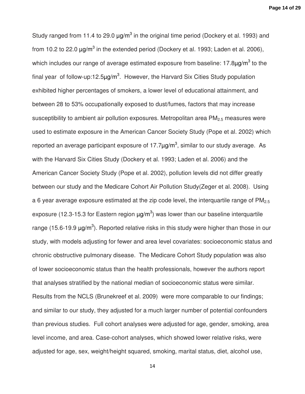**Page 14 of 29**

Study ranged from 11.4 to 29.0  $\mu$ g/m<sup>3</sup> in the original time period (Dockery et al. 1993) and from 10.2 to 22.0  $\mu$ g/m<sup>3</sup> in the extended period (Dockery et al. 1993; Laden et al. 2006), which includes our range of average estimated exposure from baseline: 17.8 $\mu$ g/m<sup>3</sup> to the final year of follow-up:12.5 $\mu$ g/m<sup>3</sup>. However, the Harvard Six Cities Study population exhibited higher percentages of smokers, a lower level of educational attainment, and between 28 to 53% occupationally exposed to dust/fumes, factors that may increase susceptibility to ambient air pollution exposures. Metropolitan area  $PM<sub>25</sub>$  measures were used to estimate exposure in the American Cancer Society Study (Pope et al. 2002) which reported an average participant exposure of 17.7 $\mu$ g/m<sup>3</sup>, similar to our study average. As with the Harvard Six Cities Study (Dockery et al. 1993; Laden et al. 2006) and the American Cancer Society Study (Pope et al. 2002), pollution levels did not differ greatly between our study and the Medicare Cohort Air Pollution Study(Zeger et al. 2008). Using a 6 year average exposure estimated at the zip code level, the interquartile range of  $PM<sub>2.5</sub>$ exposure (12.3-15.3 for Eastern region  $\mu$ g/m<sup>3</sup>) was lower than our baseline interquartile range (15.6-19.9  $\mu$ g/m<sup>3</sup>). Reported relative risks in this study were higher than those in our study, with models adjusting for fewer and area level covariates: socioeconomic status and chronic obstructive pulmonary disease. The Medicare Cohort Study population was also of lower socioeconomic status than the health professionals, however the authors report that analyses stratified by the national median of socioeconomic status were similar. Results from the NCLS (Brunekreef et al. 2009) were more comparable to our findings; and similar to our study, they adjusted for a much larger number of potential confounders than previous studies. Full cohort analyses were adjusted for age, gender, smoking, area level income, and area. Case-cohort analyses, which showed lower relative risks, were adjusted for age, sex, weight/height squared, smoking, marital status, diet, alcohol use,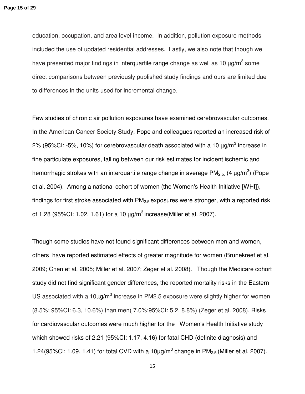education, occupation, and area level income. In addition, pollution exposure methods included the use of updated residential addresses. Lastly, we also note that though we have presented major findings in interquartile range change as well as 10  $\mu$ g/m<sup>3</sup> some direct comparisons between previously published study findings and ours are limited due to differences in the units used for incremental change.

Few studies of chronic air pollution exposures have examined cerebrovascular outcomes. In the American Cancer Society Study, Pope and colleagues reported an increased risk of 2% (95%CI: -5%, 10%) for cerebrovascular death associated with a 10  $\mu$ g/m<sup>3</sup> increase in fine particulate exposures, falling between our risk estimates for incident ischemic and hemorrhagic strokes with an interquartile range change in average PM<sub>2.5.</sub> (4  $\mu$ g/m<sup>3</sup>) (Pope et al. 2004). Among a national cohort of women (the Women's Health Initiative [WHI]), findings for first stroke associated with  $PM<sub>2.5</sub>$  exposures were stronger, with a reported risk of 1.28 (95%CI: 1.02, 1.61) for a 10  $\mu q/m^3$  increase (Miller et al. 2007).

Though some studies have not found significant differences between men and women, others have reported estimated effects of greater magnitude for women (Brunekreef et al. 2009; Chen et al. 2005; Miller et al. 2007; Zeger et al. 2008). Though the Medicare cohort study did not find significant gender differences, the reported mortality risks in the Eastern US associated with a  $10\mu g/m^3$  increase in PM2.5 exposure were slightly higher for women (8.5%; 95%CI: 6.3, 10.6%) than men( 7.0%;95%CI: 5.2, 8.8%) (Zeger et al. 2008). Risks for cardiovascular outcomes were much higher for the Women's Health Initiative study which showed risks of 2.21 (95%CI: 1.17, 4.16) for fatal CHD (definite diagnosis) and 1.24(95%CI: 1.09, 1.41) for total CVD with a  $10\mu g/m^3$  change in PM<sub>2.5</sub> (Miller et al. 2007).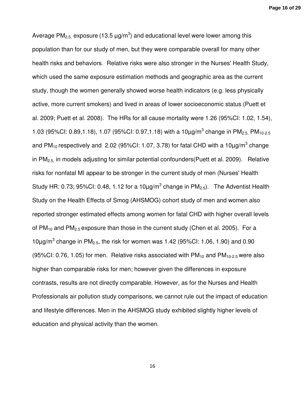**Page 16 of 29**

Average PM<sub>2.5,</sub> exposure (13.5  $\mu$ g/m<sup>3</sup>) and educational level were lower among this population than for our study of men, but they were comparable overall for many other health risks and behaviors. Relative risks were also stronger in the Nurses' Health Study, which used the same exposure estimation methods and geographic area as the current study, though the women generally showed worse health indicators (e.g. less physically active, more current smokers) and lived in areas of lower socioeconomic status (Puett et al. 2009; Puett et al. 2008). The HRs for all cause mortality were 1.26 (95%CI: 1.02, 1.54), 1.03 (95%CI: 0.89,1.18), 1.07 (95%CI: 0.97,1.18) with a 10 µg/m<sup>3</sup> change in PM<sub>2.5,</sub> PM<sub>10-2.5</sub> and PM<sub>10</sub> respectively and 2.02 (95%CI: 1.07, 3.78) for fatal CHD with a 10µg/m<sup>3</sup> change in  $PM<sub>2.5</sub>$  in models adjusting for similar potential confounders(Puett et al. 2009). Relative risks for nonfatal MI appear to be stronger in the current study of men (Nurses' Health Study HR: 0.73; 95%CI: 0.48, 1.12 for a 10 $\mu$ g/m<sup>3</sup> change in PM<sub>2.5</sub>). The Adventist Health Study on the Health Effects of Smog (AHSMOG) cohort study of men and women also reported stronger estimated effects among women for fatal CHD with higher overall levels of  $PM_{10}$  and  $PM_{2.5}$  exposure than those in the current study (Chen et al. 2005). For a  $10\mu$ g/m<sup>3</sup> change in PM<sub>2.5</sub>, the risk for women was 1.42 (95%CI: 1.06, 1.90) and 0.90 (95%CI: 0.76, 1.05) for men. Relative risks associated with  $PM_{10}$  and  $PM_{10-2.5}$  were also higher than comparable risks for men; however given the differences in exposure contrasts, results are not directly comparable. However, as for the Nurses and Health Professionals air pollution study comparisons, we cannot rule out the impact of education and lifestyle differences. Men in the AHSMOG study exhibited slightly higher levels of education and physical activity than the women.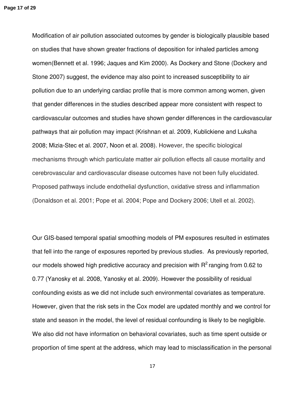Modification of air pollution associated outcomes by gender is biologically plausible based on studies that have shown greater fractions of deposition for inhaled particles among women(Bennett et al. 1996; Jaques and Kim 2000). As Dockery and Stone (Dockery and Stone 2007) suggest, the evidence may also point to increased susceptibility to air pollution due to an underlying cardiac profile that is more common among women, given that gender differences in the studies described appear more consistent with respect to cardiovascular outcomes and studies have shown gender differences in the cardiovascular pathways that air pollution may impact (Krishnan et al. 2009, Kublickiene and Luksha 2008; Mizia-Stec et al. 2007, Noon et al. 2008). However, the specific biological mechanisms through which particulate matter air pollution effects all cause mortality and cerebrovascular and cardiovascular disease outcomes have not been fully elucidated. Proposed pathways include endothelial dysfunction, oxidative stress and inflammation (Donaldson et al. 2001; Pope et al. 2004; Pope and Dockery 2006; Utell et al. 2002).

Our GIS-based temporal spatial smoothing models of PM exposures resulted in estimates that fell into the range of exposures reported by previous studies. As previously reported, our models showed high predictive accuracy and precision with  $R^2$  ranging from 0.62 to 0.77 (Yanosky et al. 2008, Yanosky et al. 2009). However the possibility of residual confounding exists as we did not include such environmental covariates as temperature. However, given that the risk sets in the Cox model are updated monthly and we control for state and season in the model, the level of residual confounding is likely to be negligible. We also did not have information on behavioral covariates, such as time spent outside or proportion of time spent at the address, which may lead to misclassification in the personal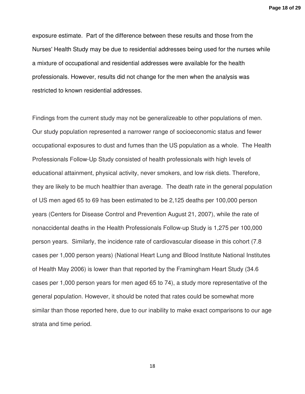**Page 18 of 29**

exposure estimate. Part of the difference between these results and those from the Nurses' Health Study may be due to residential addresses being used for the nurses while a mixture of occupational and residential addresses were available for the health professionals. However, results did not change for the men when the analysis was restricted to known residential addresses.

Findings from the current study may not be generalizeable to other populations of men. Our study population represented a narrower range of socioeconomic status and fewer occupational exposures to dust and fumes than the US population as a whole. The Health Professionals Follow-Up Study consisted of health professionals with high levels of educational attainment, physical activity, never smokers, and low risk diets. Therefore, they are likely to be much healthier than average. The death rate in the general population of US men aged 65 to 69 has been estimated to be 2,125 deaths per 100,000 person years (Centers for Disease Control and Prevention August 21, 2007), while the rate of nonaccidental deaths in the Health Professionals Follow-up Study is 1,275 per 100,000 person years. Similarly, the incidence rate of cardiovascular disease in this cohort (7.8 cases per 1,000 person years) (National Heart Lung and Blood Institute National Institutes of Health May 2006) is lower than that reported by the Framingham Heart Study (34.6 cases per 1,000 person years for men aged 65 to 74), a study more representative of the general population. However, it should be noted that rates could be somewhat more similar than those reported here, due to our inability to make exact comparisons to our age strata and time period.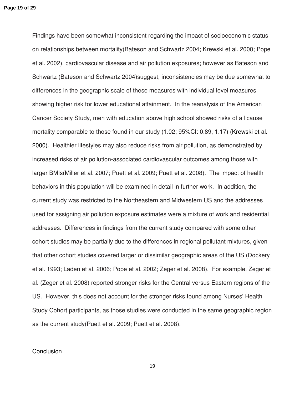Findings have been somewhat inconsistent regarding the impact of socioeconomic status on relationships between mortality(Bateson and Schwartz 2004; Krewski et al. 2000; Pope et al. 2002), cardiovascular disease and air pollution exposures; however as Bateson and Schwartz (Bateson and Schwartz 2004)suggest, inconsistencies may be due somewhat to differences in the geographic scale of these measures with individual level measures showing higher risk for lower educational attainment. In the reanalysis of the American Cancer Society Study, men with education above high school showed risks of all cause mortality comparable to those found in our study (1.02; 95%CI: 0.89, 1.17) (Krewski et al. 2000). Healthier lifestyles may also reduce risks from air pollution, as demonstrated by increased risks of air pollution-associated cardiovascular outcomes among those with larger BMIs(Miller et al. 2007; Puett et al. 2009; Puett et al. 2008). The impact of health behaviors in this population will be examined in detail in further work. In addition, the current study was restricted to the Northeastern and Midwestern US and the addresses used for assigning air pollution exposure estimates were a mixture of work and residential addresses. Differences in findings from the current study compared with some other cohort studies may be partially due to the differences in regional pollutant mixtures, given that other cohort studies covered larger or dissimilar geographic areas of the US (Dockery et al. 1993; Laden et al. 2006; Pope et al. 2002; Zeger et al. 2008). For example, Zeger et al. (Zeger et al. 2008) reported stronger risks for the Central versus Eastern regions of the US. However, this does not account for the stronger risks found among Nurses' Health Study Cohort participants, as those studies were conducted in the same geographic region as the current study(Puett et al. 2009; Puett et al. 2008).

# **Conclusion**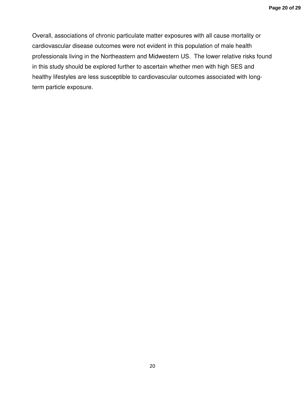Overall, associations of chronic particulate matter exposures with all cause mortality or cardiovascular disease outcomes were not evident in this population of male health professionals living in the Northeastern and Midwestern US. The lower relative risks found in this study should be explored further to ascertain whether men with high SES and healthy lifestyles are less susceptible to cardiovascular outcomes associated with longterm particle exposure.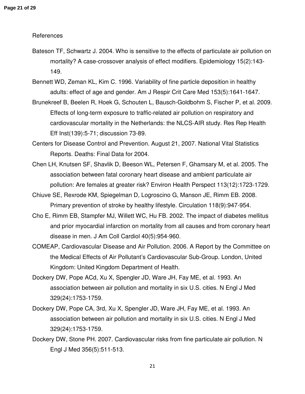#### References

- Bateson TF, Schwartz J. 2004. Who is sensitive to the effects of particulate air pollution on mortality? A case-crossover analysis of effect modifiers. Epidemiology 15(2):143- 149.
- Bennett WD, Zeman KL, Kim C. 1996. Variability of fine particle deposition in healthy adults: effect of age and gender. Am J Respir Crit Care Med 153(5):1641-1647.
- Brunekreef B, Beelen R, Hoek G, Schouten L, Bausch-Goldbohm S, Fischer P, et al. 2009. Effects of long-term exposure to traffic-related air pollution on respiratory and cardiovascular mortality in the Netherlands: the NLCS-AIR study. Res Rep Health Eff Inst(139):5-71; discussion 73-89.
- Centers for Disease Control and Prevention. August 21, 2007. National Vital Statistics Reports. Deaths: Final Data for 2004.
- Chen LH, Knutsen SF, Shavlik D, Beeson WL, Petersen F, Ghamsary M, et al. 2005. The association between fatal coronary heart disease and ambient particulate air pollution: Are females at greater risk? Environ Health Perspect 113(12):1723-1729.
- Chiuve SE, Rexrode KM, Spiegelman D, Logroscino G, Manson JE, Rimm EB. 2008. Primary prevention of stroke by healthy lifestyle. Circulation 118(9):947-954.
- Cho E, Rimm EB, Stampfer MJ, Willett WC, Hu FB. 2002. The impact of diabetes mellitus and prior myocardial infarction on mortality from all causes and from coronary heart disease in men. J Am Coll Cardiol 40(5):954-960.
- COMEAP, Cardiovascular Disease and Air Pollution. 2006. A Report by the Committee on the Medical Effects of Air Pollutant's Cardiovascular Sub-Group. London, United Kingdom: United Kingdom Department of Health.
- Dockery DW, Pope ACd, Xu X, Spengler JD, Ware JH, Fay ME, et al. 1993. An association between air pollution and mortality in six U.S. cities. N Engl J Med 329(24):1753-1759.
- Dockery DW, Pope CA, 3rd, Xu X, Spengler JD, Ware JH, Fay ME, et al. 1993. An association between air pollution and mortality in six U.S. cities. N Engl J Med 329(24):1753-1759.
- Dockery DW, Stone PH. 2007. Cardiovascular risks from fine particulate air pollution. N Engl J Med 356(5):511-513.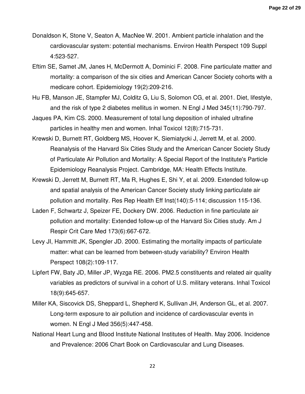- Donaldson K, Stone V, Seaton A, MacNee W. 2001. Ambient particle inhalation and the cardiovascular system: potential mechanisms. Environ Health Perspect 109 Suppl 4:523-527.
- Eftim SE, Samet JM, Janes H, McDermott A, Dominici F. 2008. Fine particulate matter and mortality: a comparison of the six cities and American Cancer Society cohorts with a medicare cohort. Epidemiology 19(2):209-216.
- Hu FB, Manson JE, Stampfer MJ, Colditz G, Liu S, Solomon CG, et al. 2001. Diet, lifestyle, and the risk of type 2 diabetes mellitus in women. N Engl J Med 345(11):790-797.
- Jaques PA, Kim CS. 2000. Measurement of total lung deposition of inhaled ultrafine particles in healthy men and women. Inhal Toxicol 12(8):715-731.
- Krewski D, Burnett RT, Goldberg MS, Hoover K, Siemiatycki J, Jerrett M, et al. 2000. Reanalysis of the Harvard Six Cities Study and the American Cancer Society Study of Particulate Air Pollution and Mortality: A Special Report of the Institute's Particle Epidemiology Reanalysis Project. Cambridge, MA: Health Effects Institute.
- Krewski D, Jerrett M, Burnett RT, Ma R, Hughes E, Shi Y, et al. 2009. Extended follow-up and spatial analysis of the American Cancer Society study linking particulate air pollution and mortality. Res Rep Health Eff Inst(140):5-114; discussion 115-136.
- Laden F, Schwartz J, Speizer FE, Dockery DW. 2006. Reduction in fine particulate air pollution and mortality: Extended follow-up of the Harvard Six Cities study. Am J Respir Crit Care Med 173(6):667-672.
- Levy JI, Hammitt JK, Spengler JD. 2000. Estimating the mortality impacts of particulate matter: what can be learned from between-study variability? Environ Health Perspect 108(2):109-117.
- Lipfert FW, Baty JD, Miller JP, Wyzga RE. 2006. PM2.5 constituents and related air quality variables as predictors of survival in a cohort of U.S. military veterans. Inhal Toxicol 18(9):645-657.
- Miller KA, Siscovick DS, Sheppard L, Shepherd K, Sullivan JH, Anderson GL, et al. 2007. Long-term exposure to air pollution and incidence of cardiovascular events in women. N Engl J Med 356(5):447-458.
- National Heart Lung and Blood Institute National Institutes of Health. May 2006. Incidence and Prevalence: 2006 Chart Book on Cardiovascular and Lung Diseases.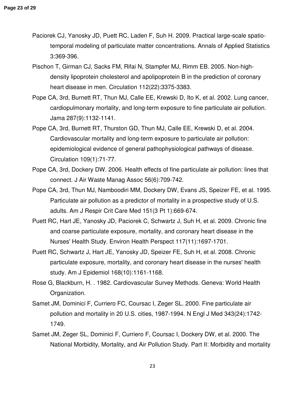- Paciorek CJ, Yanosky JD, Puett RC, Laden F, Suh H. 2009. Practical large-scale spatiotemporal modeling of particulate matter concentrations. Annals of Applied Statistics 3:369-396.
- Pischon T, Girman CJ, Sacks FM, Rifai N, Stampfer MJ, Rimm EB. 2005. Non-highdensity lipoprotein cholesterol and apolipoprotein B in the prediction of coronary heart disease in men. Circulation 112(22):3375-3383.
- Pope CA, 3rd, Burnett RT, Thun MJ, Calle EE, Krewski D, Ito K, et al. 2002. Lung cancer, cardiopulmonary mortality, and long-term exposure to fine particulate air pollution. Jama 287(9):1132-1141.
- Pope CA, 3rd, Burnett RT, Thurston GD, Thun MJ, Calle EE, Krewski D, et al. 2004. Cardiovascular mortality and long-term exposure to particulate air pollution: epidemiological evidence of general pathophysiological pathways of disease. Circulation 109(1):71-77.
- Pope CA, 3rd, Dockery DW. 2006. Health effects of fine particulate air pollution: lines that connect. J Air Waste Manag Assoc 56(6):709-742.
- Pope CA, 3rd, Thun MJ, Namboodiri MM, Dockery DW, Evans JS, Speizer FE, et al. 1995. Particulate air pollution as a predictor of mortality in a prospective study of U.S. adults. Am J Respir Crit Care Med 151(3 Pt 1):669-674.
- Puett RC, Hart JE, Yanosky JD, Paciorek C, Schwartz J, Suh H, et al. 2009. Chronic fine and coarse particulate exposure, mortality, and coronary heart disease in the Nurses' Health Study. Environ Health Perspect 117(11):1697-1701.
- Puett RC, Schwartz J, Hart JE, Yanosky JD, Speizer FE, Suh H, et al. 2008. Chronic particulate exposure, mortality, and coronary heart disease in the nurses' health study. Am J Epidemiol 168(10):1161-1168.
- Rose G, Blackburn, H. . 1982. Cardiovascular Survey Methods. Geneva: World Health Organization.
- Samet JM, Dominici F, Curriero FC, Coursac I, Zeger SL. 2000. Fine particulate air pollution and mortality in 20 U.S. cities, 1987-1994. N Engl J Med 343(24):1742- 1749.
- Samet JM, Zeger SL, Dominici F, Curriero F, Coursac I, Dockery DW, et al. 2000. The National Morbidity, Mortality, and Air Pollution Study. Part II: Morbidity and mortality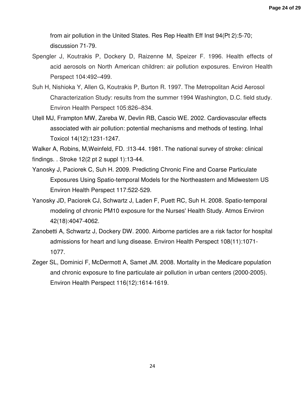from air pollution in the United States. Res Rep Health Eff Inst 94(Pt 2):5-70; discussion 71-79.

- Spengler J, Koutrakis P, Dockery D, Raizenne M, Speizer F. 1996. Health effects of acid aerosols on North American children: air pollution exposures. Environ Health Perspect 104:492–499.
- Suh H, Nishioka Y, Allen G, Koutrakis P, Burton R. 1997. The Metropolitan Acid Aerosol Characterization Study: results from the summer 1994 Washington, D.C. field study. Environ Health Perspect 105:826–834.
- Utell MJ, Frampton MW, Zareba W, Devlin RB, Cascio WE. 2002. Cardiovascular effects associated with air pollution: potential mechanisms and methods of testing. Inhal Toxicol 14(12):1231-1247.

Walker A, Robins, M,Weinfeld, FD. :I13-44. 1981. The national survey of stroke: clinical findings. . Stroke 12(2 pt 2 suppl 1):13-44.

- Yanosky J, Paciorek C, Suh H. 2009. Predicting Chronic Fine and Coarse Particulate Exposures Using Spatio-temporal Models for the Northeastern and Midwestern US Environ Health Perspect 117:522-529.
- Yanosky JD, Paciorek CJ, Schwartz J, Laden F, Puett RC, Suh H. 2008. Spatio-temporal modeling of chronic PM10 exposure for the Nurses' Health Study. Atmos Environ 42(18):4047-4062.
- Zanobetti A, Schwartz J, Dockery DW. 2000. Airborne particles are a risk factor for hospital admissions for heart and lung disease. Environ Health Perspect 108(11):1071- 1077.
- Zeger SL, Dominici F, McDermott A, Samet JM. 2008. Mortality in the Medicare population and chronic exposure to fine particulate air pollution in urban centers (2000-2005). Environ Health Perspect 116(12):1614-1619.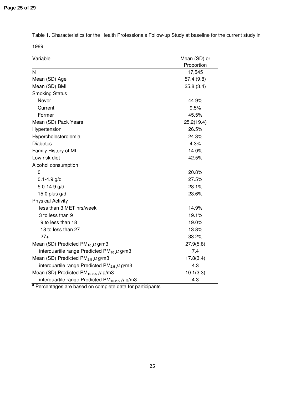Table 1. Characteristics for the Health Professionals Follow-up Study at baseline for the current study in

1989

| Variable                                                      | Mean (SD) or |
|---------------------------------------------------------------|--------------|
|                                                               | Proportion   |
| N                                                             | 17,545       |
| Mean (SD) Age                                                 | 57.4 (9.8)   |
| Mean (SD) BMI                                                 | 25.8(3.4)    |
| <b>Smoking Status</b>                                         |              |
| Never                                                         | 44.9%        |
| Current                                                       | 9.5%         |
| Former                                                        | 45.5%        |
| Mean (SD) Pack Years                                          | 25.2(19.4)   |
| Hypertension                                                  | 26.5%        |
| Hypercholesterolemia                                          | 24.3%        |
| <b>Diabetes</b>                                               | 4.3%         |
| Family History of MI                                          | 14.0%        |
| Low risk diet                                                 | 42.5%        |
| Alcohol consumption                                           |              |
| 0                                                             | 20.8%        |
| $0.1 - 4.9$ g/d                                               | 27.5%        |
| $5.0 - 14.9$ g/d                                              | 28.1%        |
| 15.0 plus g/d                                                 | 23.6%        |
| <b>Physical Activity</b>                                      |              |
| less than 3 MET hrs/week                                      | 14.9%        |
| 3 to less than 9                                              | 19.1%        |
| 9 to less than 18                                             | 19.0%        |
| 18 to less than 27                                            | 13.8%        |
| $27+$                                                         | 33.2%        |
| Mean (SD) Predicted PM <sub>10</sub> $\mu$ g/m3               | 27.9(5.8)    |
| interquartile range Predicted PM <sub>10</sub> $\mu$ g/m3     | 7.4          |
| Mean (SD) Predicted PM <sub>2.5</sub> $\mu$ g/m3              | 17.8(3.4)    |
| interquartile range Predicted $PM_{2.5} \mu g/m3$             | 4.3          |
| Mean (SD) Predicted PM <sub>10-2.5</sub> $\mu$ g/m3           | 10.1(3.3)    |
| interquartile range Predicted PM <sub>10-2.5</sub> $\mu$ g/m3 | 4.3          |

Percentages are based on complete data for participants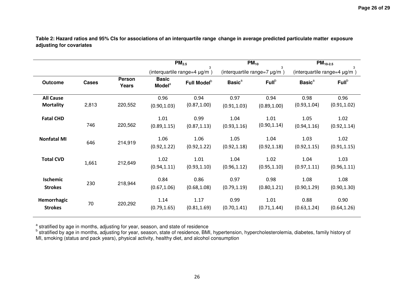**Table 2: Hazard ratios and 95% CIs for associations of an interquartile range change in average predicted particulate matter exposure adjusting for covariates** 

|                                      |              | PM <sub>2.5</sub> |                                           | $PM_{10}$               |                                   | $\overline{PM}_{10-2.5}$ |                                   |                      |
|--------------------------------------|--------------|-------------------|-------------------------------------------|-------------------------|-----------------------------------|--------------------------|-----------------------------------|----------------------|
|                                      |              |                   | 3<br>(interquartile range=4 µg/m)         |                         | 3<br>(interquartile range=7 µg/m) |                          | 3<br>(interquartile range=4 µg/m) |                      |
| Outcome                              | <b>Cases</b> | Person<br>Years   | <b>Basic</b><br><b>Model</b> <sup>a</sup> | Full Model <sup>b</sup> | <b>Basic</b> <sup>a</sup>         | Full <sup>b</sup>        | <b>Basic<sup>a</sup></b>          | Full <sup>b</sup>    |
| <b>All Cause</b><br><b>Mortality</b> | 2,813        | 220,552           | 0.96<br>(0.90, 1.03)                      | 0.94<br>(0.87, 1.00)    | 0.97<br>(0.91, 1.03)              | 0.94<br>(0.89, 1.00)     | 0.98<br>(0.93, 1.04)              | 0.96<br>(0.91, 1.02) |
| <b>Fatal CHD</b>                     | 746          | 220,562           | 1.01<br>(0.89, 1.15)                      | 0.99<br>(0.87, 1.13)    | 1.04<br>(0.93, 1.16)              | 1.01<br>(0.90, 1.14)     | 1.05<br>(0.94, 1.16)              | 1.02<br>(0.92, 1.14) |
| <b>Nonfatal MI</b>                   | 646          | 214,919           | 1.06<br>(0.92, 1.22)                      | 1.06<br>(0.92, 1.22)    | 1.05<br>(0.92, 1.18)              | 1.04<br>(0.92, 1.18)     | 1.03<br>(0.92, 1.15)              | 1.02<br>(0.91, 1.15) |
| <b>Total CVD</b>                     | 1,661        | 212,649           | 1.02<br>(0.94, 1.11)                      | 1.01<br>(0.93, 1.10)    | 1.04<br>(0.96, 1.12)              | 1.02<br>(0.95, 1.10)     | 1.04<br>(0.97, 1.11)              | 1.03<br>(0.96, 1.11) |
| Ischemic<br><b>Strokes</b>           | 230          | 218,944           | 0.84<br>(0.67, 1.06)                      | 0.86<br>(0.68, 1.08)    | 0.97<br>(0.79, 1.19)              | 0.98<br>(0.80, 1.21)     | 1.08<br>(0.90, 1.29)              | 1.08<br>(0.90, 1.30) |
| Hemorrhagic<br><b>Strokes</b>        | 70           | 220,292           | 1.14<br>(0.79, 1.65)                      | 1.17<br>(0.81, 1.69)    | 0.99<br>(0.70, 1.41)              | 1.01<br>(0.71, 1.44)     | 0.88<br>(0.63, 1.24)              | 0.90<br>(0.64, 1.26) |

<sup>a</sup> stratified by age in months, adjusting for year, season, and state of residence

<sup>b</sup> stratified by age in months, adjusting for year, season, state of residence, BMI, hypertension, hypercholesterolemia, diabetes, family history of<br>MI, smoking (status and pack years), physical activity, healthy diet, an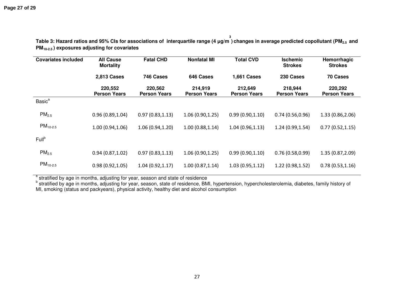| <b>Covariates included</b> | <b>All Cause</b><br><b>Mortality</b> | <b>Fatal CHD</b>               | <b>Nonfatal MI</b>             | <b>Total CVD</b>               | <b>Ischemic</b><br><b>Strokes</b> | Hemorrhagic<br><b>Strokes</b>  |
|----------------------------|--------------------------------------|--------------------------------|--------------------------------|--------------------------------|-----------------------------------|--------------------------------|
|                            | 2,813 Cases                          | 746 Cases                      | 646 Cases                      | <b>1,661 Cases</b>             | 230 Cases                         | <b>70 Cases</b>                |
|                            | 220,552<br><b>Person Years</b>       | 220,562<br><b>Person Years</b> | 214,919<br><b>Person Years</b> | 212,649<br><b>Person Years</b> | 218,944<br><b>Person Years</b>    | 220,292<br><b>Person Years</b> |
| <b>Basic<sup>a</sup></b>   |                                      |                                |                                |                                |                                   |                                |
| PM <sub>2.5</sub>          | 0.96(0.89, 1.04)                     | 0.97(0.83, 1.13)               | 1.06(0.90, 1.25)               | 0.99(0.90, 1.10)               | 0.74(0.56, 0.96)                  | 1.33 (0.86,2.06)               |
| $PM_{10-2.5}$              | 1.00(0.94, 1.06)                     | 1.06(0.94, 1.20)               | 1.00(0.88, 1.14)               | 1.04(0.96, 1.13)               | 1.24(0.99, 1.54)                  | 0.77(0.52, 1.15)               |
| Full <sup>b</sup>          |                                      |                                |                                |                                |                                   |                                |
| PM <sub>2.5</sub>          | 0.94(0.87, 1.02)                     | 0.97(0.83, 1.13)               | 1.06(0.90, 1.25)               | 0.99(0.90, 1.10)               | 0.76(0.58, 0.99)                  | 1.35 (0.87, 2.09)              |
| $PM_{10-2.5}$              | 0.98(0.92, 1.05)                     | 1.04(0.92, 1.17)               | 1.00(0.87, 1.14)               | 1.03(0.95, 1.12)               | 1.22(0.98, 1.52)                  | 0.78(0.53, 1.16)               |

**Table 3: Hazard ratios and 95% CIs for associations of interquartile range (4** µ**g/m3 ) changes in average predicted copollutant (PM2.5 and PM10-2.5 ) exposures adjusting for covariates** 

a stratified by age in months, adjusting for year, season and state of residence<br>b stratified by age in months, adjusting for year, season, state of residence, BMI, hypertension, hypercholesterolemia, diabetes, family hist MI, smoking (status and packyears), physical activity, healthy diet and alcohol consumption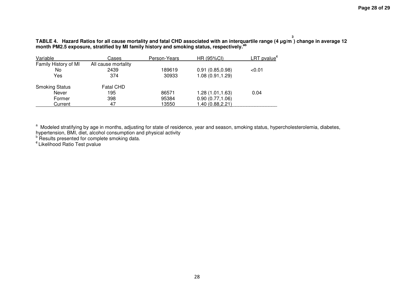**TABLE 4. Hazard Ratios for all cause mortality and fatal CHD associated with an interquartile range (4** µ**g/m** TABLE 4. Hazard Ratios for all cause mortality and fatal CHD associated with an interquartile range (4 µg/m<sup>3</sup>) change in average 12<br>month PM2.5 exposure, stratified by MI family history and smoking status, respectively.

| Variable              | Cases               | Person-Years | HR (95%CI)       | <u>LRT pvalue<sup>c</sup></u> |
|-----------------------|---------------------|--------------|------------------|-------------------------------|
| Family History of MI  | All cause mortality |              |                  |                               |
| No                    | 2439                | 189619       | 0.91(0.85, 0.98) | < 0.01                        |
| Yes                   | 374                 | 30933        | 1.08 (0.91,1.29) |                               |
| <b>Smoking Status</b> | <b>Fatal CHD</b>    |              |                  |                               |
| Never                 | 195                 | 86571        | 1.28 (1.01,1.63) | 0.04                          |
| Former                | 398                 | 95384        | 0.90(0.77,1.06)  |                               |
| Current               | 47                  | 13550        | 1.40 (0.88,2.21) |                               |

<sup>a</sup> Modeled stratifying by age in months, adjusting for state of residence, year and season, smoking status, hypercholesterolemia, diabetes,<br>hypertension, BMI, diet, alcohol consumption and physical activity<br><sup>b</sup> Results pr